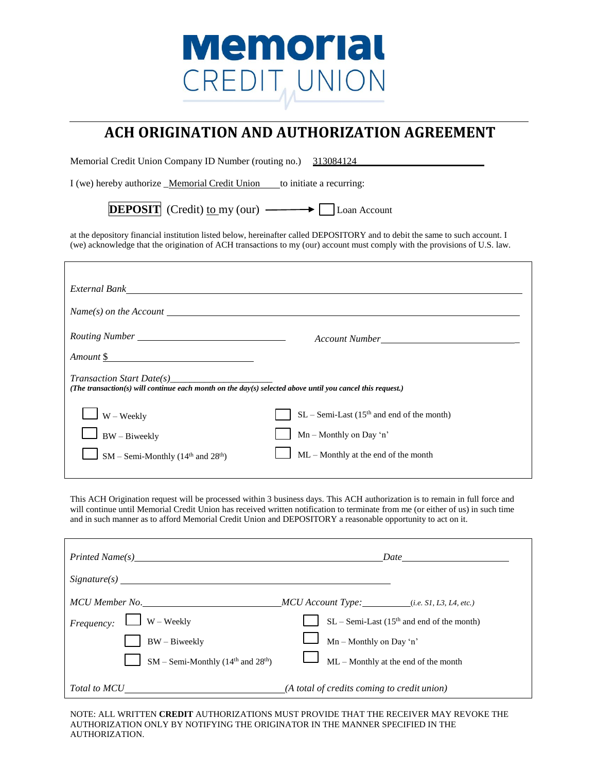## Memorial CREDIT, UNION

## **ACH ORIGINATION AND AUTHORIZATION AGREEMENT**

Memorial Credit Union Company ID Number (routing no.) 313084124

I (we) hereby authorize \_Memorial Credit Union \_\_\_\_ to initiate a recurring:

**DEPOSIT** (Credit) to my (our)  $\longrightarrow$  Loan Account

at the depository financial institution listed below, hereinafter called DEPOSITORY and to debit the same to such account. I (we) acknowledge that the origination of ACH transactions to my (our) account must comply with the provisions of U.S. law.

| External Bank Level and Secretary Assembly and Secretary Assembly and Secretary Assembly and Secretary Assembly                               |                                                          |  |
|-----------------------------------------------------------------------------------------------------------------------------------------------|----------------------------------------------------------|--|
| $Name(s)$ on the Account $\Box$                                                                                                               |                                                          |  |
|                                                                                                                                               |                                                          |  |
| Amount \$                                                                                                                                     |                                                          |  |
| <i>Transaction Start Date(s)</i><br>(The transaction(s) will continue each month on the day(s) selected above until you cancel this request.) |                                                          |  |
| $\Box$ W – Weekly                                                                                                                             | $SL$ – Semi-Last (15 <sup>th</sup> and end of the month) |  |
| $\Box$ BW – Biweekly                                                                                                                          | $Mn - Monthly$ on Day 'n'                                |  |
| $\Box$ SM – Semi-Monthly (14 <sup>th</sup> and 28 <sup>th</sup> )                                                                             | ML - Monthly at the end of the month                     |  |

This ACH Origination request will be processed within 3 business days. This ACH authorization is to remain in full force and will continue until Memorial Credit Union has received written notification to terminate from me (or either of us) in such time and in such manner as to afford Memorial Credit Union and DEPOSITORY a reasonable opportunity to act on it.

| <i>Printed Name(s)</i> Printed Name (s)                       | <i>Date</i>                                              |
|---------------------------------------------------------------|----------------------------------------------------------|
| Signature(s)                                                  |                                                          |
| MCU Member No.                                                | $MCU$ Account Type: $(i.e. S1, L3, L4, etc.)$            |
| $W - Weekly$<br>Frequency:                                    | $SL -$ Semi-Last (15 <sup>th</sup> and end of the month) |
| $BW - Biweekly$                                               | $\text{Mn}$ – Monthly on Day 'n'                         |
| $SM - Semi$ -Monthly (14 <sup>th</sup> and 28 <sup>th</sup> ) | $ML - Monthly$ at the end of the month                   |
| Total to MCU                                                  | $(A$ total of credits coming to credit union)            |

NOTE: ALL WRITTEN **CREDIT** AUTHORIZATIONS MUST PROVIDE THAT THE RECEIVER MAY REVOKE THE AUTHORIZATION ONLY BY NOTIFYING THE ORIGINATOR IN THE MANNER SPECIFIED IN THE AUTHORIZATION.